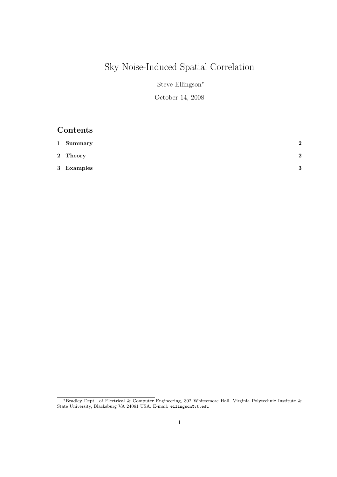# Sky Noise-Induced Spatial Correlation

Steve Ellingson<sup>∗</sup>

### October 14, 2008

# Contents

| 1 Summary  | $\bf{2}$     |
|------------|--------------|
| 2 Theory   | $\bf{2}$     |
| 3 Examples | $\mathbf{Q}$ |

<sup>∗</sup>Bradley Dept. of Electrical & Computer Engineering, 302 Whittemore Hall, Virginia Polytechnic Institute & State University, Blacksburg VA 24061 USA. E-mail: ellingson@vt.edu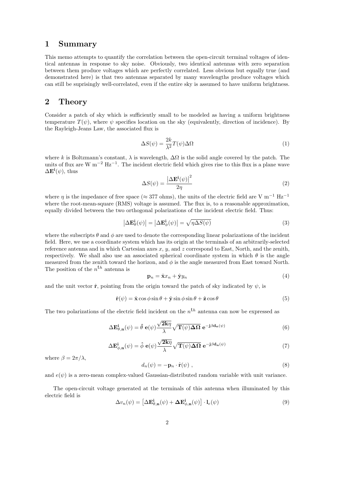## 1 Summary

This memo attempts to quantify the correlation between the open-circuit terminal voltages of identical antennas in response to sky noise. Obviously, two identical antennas with zero separation between them produce voltages which are perfectly correlated. Less obvious but equally true (and demonstrated here) is that two antennas separated by many wavelengths produce voltages which can still be suprisingly well-correlated, even if the entire sky is assumed to have uniform brightness.

#### 2 Theory

Consider a patch of sky which is sufficiently small to be modeled as having a uniform brightness temperature  $T(\psi)$ , where  $\psi$  specifies location on the sky (equivalently, direction of incidence). By the Rayleigh-Jeans Law, the associated flux is

$$
\Delta S(\psi) = \frac{2k}{\lambda^2} T(\psi) \Delta \Omega \tag{1}
$$

where k is Boltzmann's constant,  $\lambda$  is wavelength,  $\Delta\Omega$  is the solid angle covered by the patch. The units of flux are W m−<sup>2</sup> Hz−<sup>1</sup> . The incident electric field which gives rise to this flux is a plane wave  $\Delta \mathbf{E}^{\mathbf{i}}(\psi)$ , thus

$$
\Delta S(\psi) = \frac{\left|\Delta \mathbf{E}^{\mathbf{i}}(\psi)\right|^2}{2\eta} \tag{2}
$$

where  $\eta$  is the impedance of free space (≈ 377 ohms), the units of the electric field are V m<sup>-1</sup> Hz<sup>-1</sup> where the root-mean-square (RMS) voltage is assumed. The flux is, to a reasonable approximation, equally divided between the two orthogonal polarizations of the incident electric field. Thus:

$$
\left|\Delta \mathbf{E}_{\theta}^{\mathbf{i}}(\psi)\right| = \left|\Delta \mathbf{E}_{\phi}^{\mathbf{i}}(\psi)\right| = \sqrt{\eta \Delta S(\psi)}\tag{3}
$$

where the subscripts  $\theta$  and  $\phi$  are used to denote the corresponding linear polarizations of the incident field. Here, we use a coordinate system which has its origin at the terminals of an arbitrarily-selected reference antenna and in which Cartesian axes  $x, y$ , and  $z$  correspond to East, North, and the zenith, respectively. We shall also use an associated spherical coordinate system in which  $\theta$  is the angle measured from the zenith toward the horizon, and  $\phi$  is the angle measured from East toward North. The position of the  $n<sup>th</sup>$  antenna is

$$
\mathbf{p}_n = \hat{\mathbf{x}}x_n + \hat{\mathbf{y}}y_n \tag{4}
$$

and the unit vector  $\hat{\mathbf{r}}$ , pointing from the origin toward the patch of sky indicated by  $\psi$ , is

$$
\hat{\mathbf{r}}(\psi) = \hat{\mathbf{x}} \cos \phi \sin \theta + \hat{\mathbf{y}} \sin \phi \sin \theta + \hat{\mathbf{z}} \cos \theta \tag{5}
$$

The two polarizations of the electric field incident on the  $n<sup>th</sup>$  antenna can now be expressed as

$$
\Delta \mathbf{E}_{\theta,\mathbf{n}}^{\mathbf{i}}(\psi) = \hat{\theta} \mathbf{e}(\psi) \frac{\sqrt{2k\eta}}{\lambda} \sqrt{\mathbf{T}(\psi)\Delta\Omega} \mathbf{e}^{-\mathbf{j}\beta \mathbf{d}_{\mathbf{n}}(\psi)}
$$
(6)

$$
\Delta \mathbf{E}_{\phi,\mathbf{n}}^{\mathbf{i}}(\psi) = \hat{\phi} \mathbf{e}(\psi) \frac{\sqrt{2k\eta}}{\lambda} \sqrt{\mathbf{T}(\psi)\Delta\Omega} \mathbf{e}^{-\mathbf{j}\beta \mathbf{d}_{\mathbf{n}}(\psi)} \tag{7}
$$

where  $\beta = 2\pi/\lambda$ .

$$
d_n(\psi) = -\mathbf{p}_n \cdot \hat{\mathbf{r}}(\psi) , \qquad (8)
$$

and  $e(\psi)$  is a zero-mean complex-valued Gaussian-distributed random variable with unit variance.

The open-circuit voltage generated at the terminals of this antenna when illuminated by this electric field is

$$
\Delta v_n(\psi) = \left[ \Delta \mathbf{E}_{\theta,n}^{\mathbf{i}}(\psi) + \Delta \mathbf{E}_{\phi,n}^{\mathbf{i}}(\psi) \right] \cdot \mathbf{l}_e(\psi)
$$
\n(9)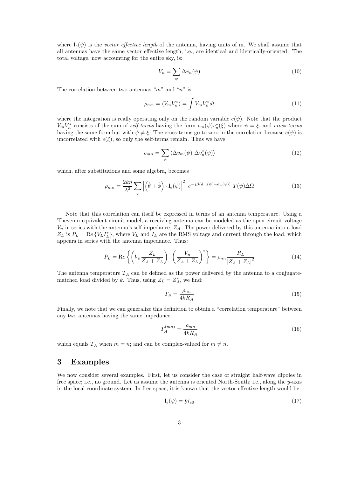where  $\mathbf{l}_{e}(\psi)$  is the vector effective length of the antenna, having units of m. We shall assume that all antennas have the same vector effective length; i.e., are identical and identically-oriented. The total voltage, now accounting for the entire sky, is:

$$
V_n = \sum_{\psi} \Delta v_n(\psi) \tag{10}
$$

The correlation between two antennas " $m$ " and "n" is

$$
\rho_{mn} = \langle V_m V_n^* \rangle = \int V_m V_n^* dt \tag{11}
$$

where the integration is really operating only on the random variable  $e(\psi)$ . Note that the product  $V_m V_n^*$  consists of the sum of self-terms having the form  $v_m(\psi)v_n^*(\xi)$  where  $\psi = \xi$ , and cross-terms having the same form but with  $\psi \neq \xi$ . The cross-terms go to zero in the correlation because  $e(\psi)$  is uncorrelated with  $e(\xi)$ , so only the self-terms remain. Thus we have

$$
\rho_{mn} = \sum_{\psi} \langle \Delta v_m(\psi) \; \Delta v_n^*(\psi) \rangle \tag{12}
$$

which, after substitutions and some algebra, becomes

$$
\rho_{mn} = \frac{2k\eta}{\lambda^2} \sum_{\psi} \left| \left( \hat{\theta} + \hat{\phi} \right) \cdot \mathbf{l}_e(\psi) \right|^2 \ e^{-j\beta(d_m(\psi) - d_n(\psi))} T(\psi) \Delta \Omega \tag{13}
$$

Note that this correlation can itself be expressed in terms of an antenna temperature. Using a Thevenin equivalent circuit model, a receiving antenna can be modeled as the open circuit voltage  $V_n$  in series with the antenna's self-impedance,  $Z_A$ . The power delivered by this antenna into a load  $Z_L$  is  $P_L = \text{Re}\{V_L I_L^*\}$ , where  $V_L$  and  $I_L$  are the RMS voltage and current through the load, which appears in series with the antenna impedance. Thus:

$$
P_L = \text{Re}\left\{ \left( V_n \frac{Z_L}{Z_A + Z_L} \right) \left( \frac{V_n}{Z_A + Z_L} \right)^* \right\} = \rho_{nn} \frac{R_L}{\left| Z_A + Z_L \right|^2} \tag{14}
$$

The antenna temperature  $T_A$  can be defined as the power delivered by the antenna to a conjugatematched load divided by k. Thus, using  $Z_L = Z_A^*$ , we find:

$$
T_A = \frac{\rho_{nn}}{4kR_A} \tag{15}
$$

Finally, we note that we can generalize this definition to obtain a "correlation temperature" between any two antennas having the same impedance:

$$
T_A^{(mn)} = \frac{\rho_{mn}}{4kR_A} \tag{16}
$$

which equals  $T_A$  when  $m = n$ ; and can be complex-valued for  $m \neq n$ .

#### 3 Examples

We now consider several examples. First, let us consider the case of straight half-wave dipoles in free space; i.e., no ground. Let us assume the antenna is oriented North-South; i.e., along the y-axis in the local coordinate system. In free space, it is known that the vector effective length would be:

$$
\mathbf{l}_e(\psi) = \hat{\mathbf{y}} l_{e0} \tag{17}
$$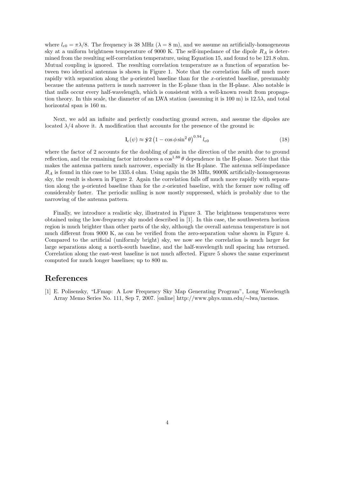where  $l_{e0} = \pi \lambda/8$ . The frequency is 38 MHz ( $\lambda = 8$  m), and we assume an artificially-homogeneous sky at a uniform brightness temperature of 9000 K. The self-impedance of the dipole  $R_A$  is determined from the resulting self-correlation temperature, using Equation 15, and found to be 121.8 ohm. Mutual coupling is ignored. The resulting correlation temperature as a function of separation between two identical antennas is shown in Figure 1. Note that the correlation falls off much more rapidly with separation along the y-oriented baseline than for the x-oriented baseline, presumably because the antenna pattern is much narrower in the E-plane than in the H-plane. Also notable is that nulls occur every half-wavelength, which is consistent with a well-known result from propagation theory. In this scale, the diameter of an LWA station (assuming it is 100 m) is  $12.5\lambda$ , and total horizontal span is 160 m.

Next, we add an infinite and perfectly conducting ground screen, and assume the dipoles are located  $\lambda/4$  above it. A modification that accounts for the presence of the ground is:

$$
\mathbf{l}_e(\psi) \approx \hat{\mathbf{y}} 2 \left( 1 - \cos \phi \sin^2 \theta \right)^{0.94} l_{e0} \tag{18}
$$

where the factor of 2 accounts for the doubling of gain in the direction of the zenith due to ground reflection, and the remaining factor introduces a  $\cos^{1.88} \theta$  dependence in the H-plane. Note that this makes the antenna pattern much narrower, especially in the H-plane. The antenna self-impedance  $R_A$  is found in this case to be 1335.4 ohm. Using again the 38 MHz, 9000K artificially-homogeneous sky, the result is shown in Figure 2. Again the correlation falls off much more rapidly with separation along the y-oriented baseline than for the x-oriented baseline, with the former now rolling off considerably faster. The periodic nulling is now mostly suppressed, which is probably due to the narrowing of the antenna pattern.

Finally, we introduce a realistic sky, illustrated in Figure 3. The brightness temperatures were obtained using the low-frequency sky model described in [1]. In this case, the southwestern horizon region is much brighter than other parts of the sky, although the overall antenna temperature is not much different from 9000 K, as can be verified from the zero-separation value shown in Figure 4. Compared to the artificial (uniformly bright) sky, we now see the correlation is much larger for large separations along a north-south baseline, and the half-wavelength null spacing has returned. Correlation along the east-west baseline is not much affected. Figure 5 shows the same experiment computed for much longer baselines; up to 800 m.

## References

[1] E. Polisensky, "LFmap: A Low Frequency Sky Map Generating Program", Long Wavelength Array Memo Series No. 111, Sep 7, 2007. [online] http://www.phys.unm.edu/∼lwa/memos.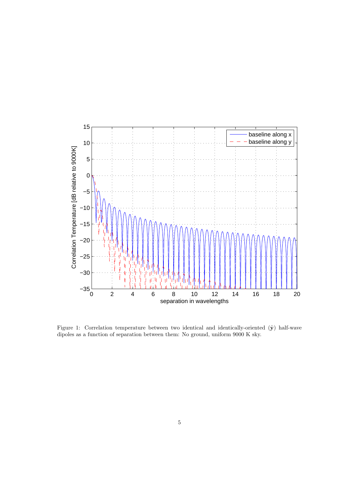

Figure 1: Correlation temperature between two identical and identically-oriented  $(\hat{y})$  half-wave dipoles as a function of separation between them: No ground, uniform 9000 K sky.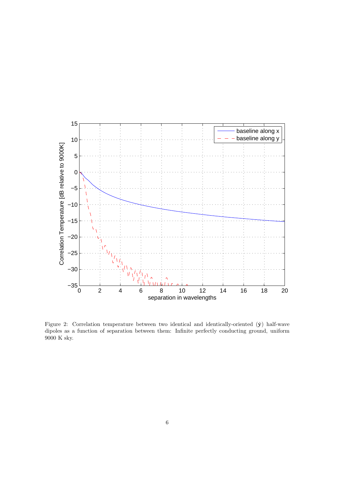

Figure 2: Correlation temperature between two identical and identically-oriented  $(\hat{y})$  half-wave dipoles as a function of separation between them: Infinite perfectly conducting ground, uniform 9000 K sky.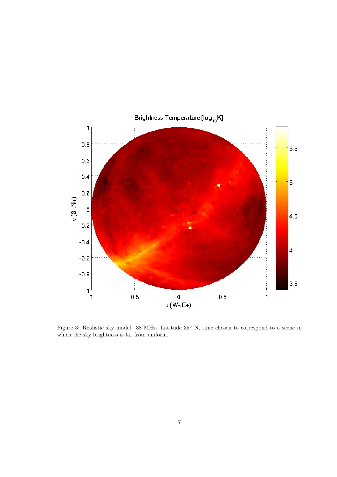

Figure 3: Realistic sky model. 38 MHz. Latitude 35◦ N, time chosen to correspond to a scene in which the sky brightness is far from uniform.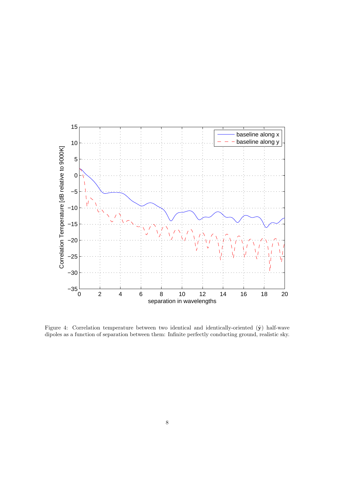

Figure 4: Correlation temperature between two identical and identically-oriented  $(\hat{y})$  half-wave dipoles as a function of separation between them: Infinite perfectly conducting ground, realistic sky.